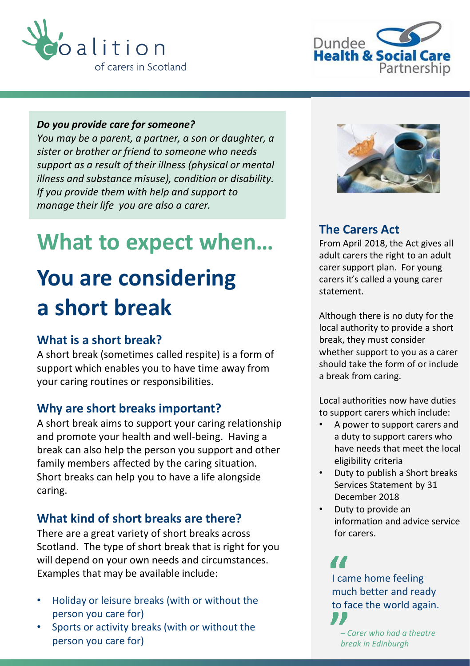



#### *Do you provide care for someone?*

*You may be a parent, a partner, a son or daughter, a sister or brother or friend to someone who needs support as a result of their illness (physical or mental illness and substance misuse), condition or disability. If you provide them with help and support to manage their life you are also a carer.*

# **What to expect when…**

# **You are considering a short break**

### **What is a short break?**

A short break (sometimes called respite) is a form of support which enables you to have time away from your caring routines or responsibilities.

#### **Why are short breaks important?**

A short break aims to support your caring relationship and promote your health and well-being. Having a break can also help the person you support and other family members affected by the caring situation. Short breaks can help you to have a life alongside caring.

## **What kind of short breaks are there?**

There are a great variety of short breaks across Scotland. The type of short break that is right for you will depend on your own needs and circumstances. Examples that may be available include:

- Holiday or leisure breaks (with or without the person you care for)
- Sports or activity breaks (with or without the person you care for)



### **The Carers Act**

From April 2018, the Act gives all adult carers the right to an adult carer support plan. For young carers it's called a young carer statement.

Although there is no duty for the local authority to provide a short break, they must consider whether support to you as a carer should take the form of or include a break from caring.

Local authorities now have duties to support carers which include:

- A power to support carers and a duty to support carers who have needs that meet the local eligibility criteria
- Duty to publish a Short breaks Services Statement by 31 December 2018
- Duty to provide an information and advice service for carers.

I came home feeling much better and ready to face the world again.

*– Carer who had a theatre break in Edinburgh*